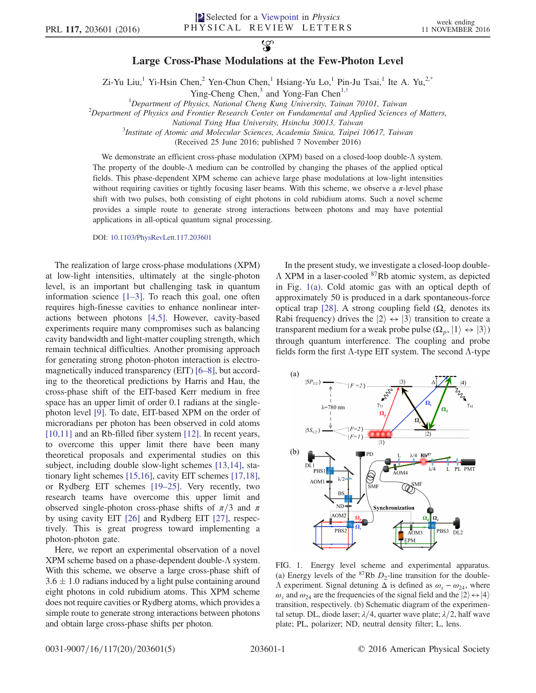## $\mathfrak{P}$ Large Cross-Phase Modulations at the Few-Photon Level

Zi-Yu Liu,<sup>1</sup> Yi-Hsin Chen,<sup>2</sup> Yen-Chun Chen,<sup>1</sup> Hsiang-Yu Lo,<sup>1</sup> Pin-Ju Tsai,<sup>1</sup> Ite A. Yu,<sup>[2,\\*](#page-4-0)</sup>

Ying-Cheng Chen,<sup>3</sup> and Yong-Fan Chen<sup>1,[†](#page-4-1)</sup>

<span id="page-0-2"></span><span id="page-0-1"></span><sup>1</sup>Department of Physics, National Cheng Kung University, Tainan 70101, Taiwan<sup>2</sup><br><sup>2</sup>Department of Physics and Exontier Besearch Center on Eundamental and Applied Sciences

 $\alpha^2$ Department of Physics and Frontier Research Center on Fundamental and Applied Sciences of Matters,

National Tsing Hua University, Hsinchu 30013, Taiwan

 $3$ Institute of Atomic and Molecular Sciences, Academia Sinica, Taipei 10617, Taiwan

(Received 25 June 2016; published 7 November 2016)

We demonstrate an efficient cross-phase modulation (XPM) based on a closed-loop double-Λ system. The property of the double-Λ medium can be controlled by changing the phases of the applied optical fields. This phase-dependent XPM scheme can achieve large phase modulations at low-light intensities without requiring cavities or tightly focusing laser beams. With this scheme, we observe a  $\pi$ -level phase shift with two pulses, both consisting of eight photons in cold rubidium atoms. Such a novel scheme provides a simple route to generate strong interactions between photons and may have potential applications in all-optical quantum signal processing.

DOI: [10.1103/PhysRevLett.117.203601](http://dx.doi.org/10.1103/PhysRevLett.117.203601)

The realization of large cross-phase modulations (XPM) at low-light intensities, ultimately at the single-photon level, is an important but challenging task in quantum information science [1–[3\].](#page-4-2) To reach this goal, one often requires high-finesse cavities to enhance nonlinear interactions between photons [\[4,5\].](#page-4-3) However, cavity-based experiments require many compromises such as balancing cavity bandwidth and light-matter coupling strength, which remain technical difficulties. Another promising approach for generating strong photon-photon interaction is electromagnetically induced transparency (EIT) [6–[8\],](#page-4-4) but according to the theoretical predictions by Harris and Hau, the cross-phase shift of the EIT-based Kerr medium in free space has an upper limit of order 0.1 radians at the singlephoton level [\[9\]](#page-4-5). To date, EIT-based XPM on the order of microradians per photon has been observed in cold atoms [\[10,11\]](#page-4-6) and an Rb-filled fiber system [\[12\]](#page-4-7). In recent years, to overcome this upper limit there have been many theoretical proposals and experimental studies on this subject, including double slow-light schemes [\[13,14\]](#page-4-8), stationary light schemes [\[15,16\]](#page-4-9), cavity EIT schemes [\[17,18\]](#page-4-10), or Rydberg EIT schemes [\[19](#page-4-11)–25]. Very recently, two research teams have overcome this upper limit and observed single-photon cross-phase shifts of  $\pi/3$  and  $\pi$ by using cavity EIT [\[26\]](#page-4-12) and Rydberg EIT [\[27\],](#page-4-13) respectively. This is great progress toward implementing a photon-photon gate.

Here, we report an experimental observation of a novel XPM scheme based on a phase-dependent double-Λ system. With this scheme, we observe a large cross-phase shift of  $3.6 \pm 1.0$  radians induced by a light pulse containing around eight photons in cold rubidium atoms. This XPM scheme does not require cavities or Rydberg atoms, which provides a simple route to generate strong interactions between photons and obtain large cross-phase shifts per photon.

In the present study, we investigate a closed-loop double-Λ XPM in a laser-cooled <sup>87</sup>Rb atomic system, as depicted in Fig. [1\(a\)](#page-0-0). Cold atomic gas with an optical depth of approximately 50 is produced in a dark spontaneous-force optical trap [\[28\]](#page-4-14). A strong coupling field ( $Ω<sub>c</sub>$  denotes its Rabi frequency) drives the  $|2\rangle \leftrightarrow |3\rangle$  transition to create a transparent medium for a weak probe pulse  $(\Omega_p, |1\rangle \leftrightarrow |3\rangle)$ through quantum interference. The coupling and probe fields form the first  $\Lambda$ -type EIT system. The second  $\Lambda$ -type

<span id="page-0-0"></span>

FIG. 1. Energy level scheme and experimental apparatus. (a) Energy levels of the  ${}^{87}Rb$  D<sub>2</sub>-line transition for the double- $Λ$  experiment. Signal detuning Δ is defined as  $ω<sub>s</sub> - ω<sub>24</sub>$ , where  $\omega_s$  and  $\omega_{24}$  are the frequencies of the signal field and the  $|2\rangle \leftrightarrow |4\rangle$ transition, respectively. (b) Schematic diagram of the experimental setup. DL, diode laser;  $\lambda/4$ , quarter wave plate;  $\lambda/2$ , half wave plate; PL, polarizer; ND, neutral density filter; L, lens.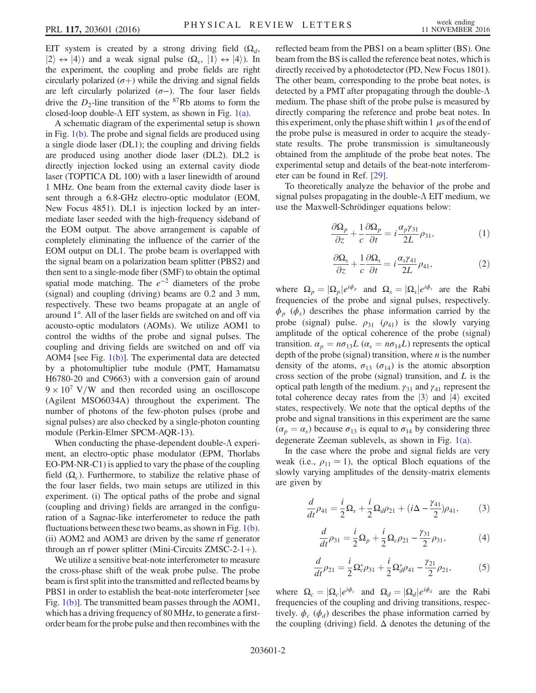EIT system is created by a strong driving field  $(\Omega_d,$  $|2\rangle \leftrightarrow |4\rangle$  and a weak signal pulse  $(\Omega_s, |1\rangle \leftrightarrow |4\rangle)$ . In the experiment, the coupling and probe fields are right circularly polarized  $(\sigma+)$  while the driving and signal fields are left circularly polarized  $(σ-)$ . The four laser fields drive the  $D_2$ -line transition of the <sup>87</sup>Rb atoms to form the closed-loop double- $\Lambda$  EIT system, as shown in Fig. [1\(a\)](#page-0-0).

A schematic diagram of the experimental setup is shown in Fig. [1\(b\).](#page-0-0) The probe and signal fields are produced using a single diode laser (DL1); the coupling and driving fields are produced using another diode laser (DL2). DL2 is directly injection locked using an external cavity diode laser (TOPTICA DL 100) with a laser linewidth of around 1 MHz. One beam from the external cavity diode laser is sent through a 6.8-GHz electro-optic modulator (EOM, New Focus 4851). DL1 is injection locked by an intermediate laser seeded with the high-frequency sideband of the EOM output. The above arrangement is capable of completely eliminating the influence of the carrier of the EOM output on DL1. The probe beam is overlapped with the signal beam on a polarization beam splitter (PBS2) and then sent to a single-mode fiber (SMF) to obtain the optimal spatial mode matching. The  $e^{-2}$  diameters of the probe (signal) and coupling (driving) beams are 0.2 and 3 mm, respectively. These two beams propagate at an angle of around 1°. All of the laser fields are switched on and off via acousto-optic modulators (AOMs). We utilize AOM1 to control the widths of the probe and signal pulses. The coupling and driving fields are switched on and off via AOM4 [see Fig. [1\(b\)\]](#page-0-0). The experimental data are detected by a photomultiplier tube module (PMT, Hamamatsu H6780-20 and C9663) with a conversion gain of around  $9 \times 10^7$  V/W and then recorded using an oscilloscope (Agilent MSO6034A) throughout the experiment. The number of photons of the few-photon pulses (probe and signal pulses) are also checked by a single-photon counting module (Perkin-Elmer SPCM-AQR-13).

When conducting the phase-dependent double-Λ experiment, an electro-optic phase modulator (EPM, Thorlabs EO-PM-NR-C1) is applied to vary the phase of the coupling field  $(\Omega_c)$ . Furthermore, to stabilize the relative phase of the four laser fields, two main setups are utilized in this experiment. (i) The optical paths of the probe and signal (coupling and driving) fields are arranged in the configuration of a Sagnac-like interferometer to reduce the path fluctuations between these two beams, as shown in Fig. [1\(b\)](#page-0-0). (ii) AOM2 and AOM3 are driven by the same rf generator through an rf power splitter (Mini-Circuits  $ZMSC-2-1+$ ).

We utilize a sensitive beat-note interferometer to measure the cross-phase shift of the weak probe pulse. The probe beam is first split into the transmitted and reflected beams by PBS1 in order to establish the beat-note interferometer [see Fig. [1\(b\)\]](#page-0-0). The transmitted beam passes through the AOM1, which has a driving frequency of 80 MHz, to generate a firstorder beam for the probe pulse and then recombines with the reflected beam from the PBS1 on a beam splitter (BS). One beam from the BS is called the reference beat notes, which is directly received by a photodetector (PD, New Focus 1801). The other beam, corresponding to the probe beat notes, is detected by a PMT after propagating through the double- $\Lambda$ medium. The phase shift of the probe pulse is measured by directly comparing the reference and probe beat notes. In this experiment, only the phase shift within 1  $\mu$ s of the end of the probe pulse is measured in order to acquire the steadystate results. The probe transmission is simultaneously obtained from the amplitude of the probe beat notes. The experimental setup and details of the beat-note interferometer can be found in Ref. [\[29\].](#page-4-15)

<span id="page-1-0"></span>To theoretically analyze the behavior of the probe and signal pulses propagating in the double-Λ EIT medium, we use the Maxwell-Schrödinger equations below:

$$
\frac{\partial \Omega_p}{\partial z} + \frac{1}{c} \frac{\partial \Omega_p}{\partial t} = i \frac{\alpha_p \gamma_{31}}{2L} \rho_{31},\tag{1}
$$

$$
\frac{\partial \Omega_s}{\partial z} + \frac{1}{c} \frac{\partial \Omega_s}{\partial t} = i \frac{\alpha_s \gamma_{41}}{2L} \rho_{41},\tag{2}
$$

where  $\Omega_p = |\Omega_p|e^{i\phi_p}$  and  $\Omega_s = |\Omega_s|e^{i\phi_s}$  are the Rabi frequencies of the probe and signal pulses, respectively.  $\phi_p$  ( $\phi_s$ ) describes the phase information carried by the probe (signal) pulse.  $\rho_{31}$  ( $\rho_{41}$ ) is the slowly varying amplitude of the optical coherence of the probe (signal) transition.  $\alpha_p = n\sigma_{13}L$  ( $\alpha_s = n\sigma_{14}L$ ) represents the optical depth of the probe (signal) transition, where  $n$  is the number density of the atoms,  $\sigma_{13}$  ( $\sigma_{14}$ ) is the atomic absorption cross section of the probe (signal) transition, and  $L$  is the optical path length of the medium.  $\gamma_{31}$  and  $\gamma_{41}$  represent the total coherence decay rates from the  $|3\rangle$  and  $|4\rangle$  excited states, respectively. We note that the optical depths of the probe and signal transitions in this experiment are the same  $(\alpha_p = \alpha_s)$  because  $\sigma_{13}$  is equal to  $\sigma_{14}$  by considering three degenerate Zeeman sublevels, as shown in Fig. [1\(a\).](#page-0-0)

In the case where the probe and signal fields are very weak (i.e.,  $\rho_{11} \approx 1$ ), the optical Bloch equations of the slowly varying amplitudes of the density-matrix elements are given by

$$
\frac{d}{dt}\rho_{41} = \frac{i}{2}\Omega_s + \frac{i}{2}\Omega_d\rho_{21} + (i\Delta - \frac{\gamma_{41}}{2})\rho_{41},\tag{3}
$$

$$
\frac{d}{dt}\rho_{31} = \frac{i}{2}\Omega_p + \frac{i}{2}\Omega_c\rho_{21} - \frac{\gamma_{31}}{2}\rho_{31},\tag{4}
$$

<span id="page-1-1"></span>
$$
\frac{d}{dt}\rho_{21} = \frac{i}{2}\Omega_{c}^{*}\rho_{31} + \frac{i}{2}\Omega_{d}^{*}\rho_{41} - \frac{\gamma_{21}}{2}\rho_{21},
$$
 (5)

where  $\Omega_c = |\Omega_c|e^{i\phi_c}$  and  $\Omega_d = |\Omega_d|e^{i\phi_d}$  are the Rabi frequencies of the coupling and driving transitions, respectively.  $\phi_c$  ( $\phi_d$ ) describes the phase information carried by the coupling (driving) field.  $\Delta$  denotes the detuning of the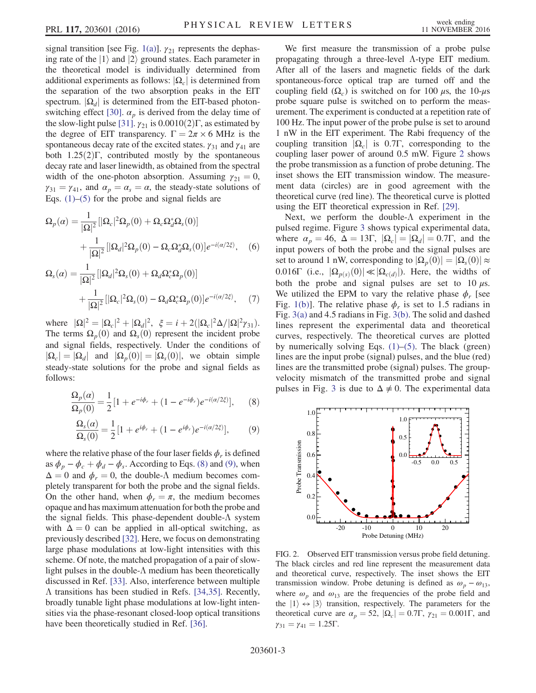signal transition [see Fig. [1\(a\)\]](#page-0-0).  $\gamma_{21}$  represents the dephasing rate of the  $|1\rangle$  and  $|2\rangle$  ground states. Each parameter in the theoretical model is individually determined from additional experiments as follows:  $|\Omega_c|$  is determined from the separation of the two absorption peaks in the EIT spectrum.  $|\Omega_d|$  is determined from the EIT-based photon-switching effect [\[30\]](#page-4-16).  $\alpha_p$  is derived from the delay time of the slow-light pulse [\[31\]](#page-4-17).  $\gamma_{21}$  is 0.0010(2) Γ, as estimated by the degree of EIT transparency.  $\Gamma = 2\pi \times 6$  MHz is the spontaneous decay rate of the excited states.  $\gamma_{31}$  and  $\gamma_{41}$  are both  $1.25(2)\Gamma$ , contributed mostly by the spontaneous decay rate and laser linewidth, as obtained from the spectral width of the one-photon absorption. Assuming  $\gamma_{21} = 0$ ,  $\gamma_{31} = \gamma_{41}$ , and  $\alpha_p = \alpha_s = \alpha$ , the steady-state solutions of Eqs.  $(1)$ – $(5)$  for the probe and signal fields are

<span id="page-2-3"></span>
$$
\Omega_p(\alpha) = \frac{1}{|\Omega|^2} [|\Omega_c|^2 \Omega_p(0) + \Omega_c \Omega_d^* \Omega_s(0)]
$$
  
+ 
$$
\frac{1}{|\Omega|^2} [|\Omega_d|^2 \Omega_p(0) - \Omega_c \Omega_d^* \Omega_s(0)] e^{-i(\alpha/2\xi)}, \quad (6)
$$

<span id="page-2-4"></span>
$$
\Omega_s(\alpha) = \frac{1}{|\Omega|^2} [|\Omega_d|^2 \Omega_s(0) + \Omega_d \Omega_c^* \Omega_p(0)]
$$
  
+ 
$$
\frac{1}{|\Omega|^2} [|\Omega_c|^2 \Omega_s(0) - \Omega_d \Omega_c^* \Omega_p(0)] e^{-i(\alpha/2\xi)}, \quad (7)
$$

where  $|\Omega|^2 = |\Omega_c|^2 + |\Omega_d|^2$ ,  $\xi = i + 2(|\Omega_c|^2 \Delta / |\Omega|^2 \gamma_{31})$ . The terms  $\Omega_p(0)$  and  $\Omega_s(0)$  represent the incident probe and signal fields, respectively. Under the conditions of  $|\Omega_c| = |\Omega_d|$  and  $|\Omega_p(0)| = |\Omega_s(0)|$ , we obtain simple steady-state solutions for the probe and signal fields as follows:

<span id="page-2-0"></span>
$$
\frac{\Omega_p(\alpha)}{\Omega_p(0)} = \frac{1}{2} \left[ 1 + e^{-i\phi_r} + (1 - e^{-i\phi_r}) e^{-i(\alpha/2\xi)} \right],\qquad(8)
$$

<span id="page-2-1"></span>
$$
\frac{\Omega_s(\alpha)}{\Omega_s(0)} = \frac{1}{2} \left[ 1 + e^{i\phi_r} + (1 - e^{i\phi_r}) e^{-i(\alpha/2\xi)} \right],\tag{9}
$$

where the relative phase of the four laser fields  $\phi_r$  is defined as  $\phi_p - \phi_c + \phi_d - \phi_s$ . According to Eqs. [\(8\)](#page-2-0) and [\(9\)](#page-2-1), when  $\Delta = 0$  and  $\phi_r = 0$ , the double- $\Lambda$  medium becomes completely transparent for both the probe and the signal fields. On the other hand, when  $\phi_r = \pi$ , the medium becomes opaque and has maximum attenuation for both the probe and the signal fields. This phase-dependent double-Λ system with  $\Delta = 0$  can be applied in all-optical switching, as previously described [\[32\].](#page-4-18) Here, we focus on demonstrating large phase modulations at low-light intensities with this scheme. Of note, the matched propagation of a pair of slowlight pulses in the double-Λ medium has been theoretically discussed in Ref. [\[33\].](#page-4-19) Also, interference between multiple Λ transitions has been studied in Refs. [\[34,35\].](#page-4-20) Recently, broadly tunable light phase modulations at low-light intensities via the phase-resonant closed-loop optical transitions have been theoretically studied in Ref. [\[36\].](#page-4-21)

We first measure the transmission of a probe pulse propagating through a three-level Λ-type EIT medium. After all of the lasers and magnetic fields of the dark spontaneous-force optical trap are turned off and the coupling field  $(\Omega_c)$  is switched on for 100 μs, the 10-μs probe square pulse is switched on to perform the measurement. The experiment is conducted at a repetition rate of 100 Hz. The input power of the probe pulse is set to around 1 nW in the EIT experiment. The Rabi frequency of the coupling transition  $|\Omega_c|$  is 0.7Γ, corresponding to the coupling laser power of around 0.5 mW. Figure [2](#page-2-2) shows the probe transmission as a function of probe detuning. The inset shows the EIT transmission window. The measurement data (circles) are in good agreement with the theoretical curve (red line). The theoretical curve is plotted using the EIT theoretical expression in Ref. [\[29\].](#page-4-15)

Next, we perform the double-Λ experiment in the pulsed regime. Figure [3](#page-3-0) shows typical experimental data, where  $\alpha_p = 46$ ,  $\Delta = 13\Gamma$ ,  $|\Omega_c| = |\Omega_d| = 0.7\Gamma$ , and the input powers of both the probe and the signal pulses are set to around 1 nW, corresponding to  $|\Omega_p(0)| = |\Omega_s(0)| \approx$ 0.016Γ (i.e.,  $|\Omega_{p(s)}(0)| \ll |\Omega_{c(d)}|$ ). Here, the widths of both the probe and signal pulses are set to  $10 \mu s$ . We utilized the EPM to vary the relative phase  $\phi_r$  [see Fig. [1\(b\)](#page-0-0)]. The relative phase  $\phi_r$  is set to 1.5 radians in Fig. [3\(a\)](#page-3-0) and 4.5 radians in Fig. [3\(b\).](#page-3-0) The solid and dashed lines represent the experimental data and theoretical curves, respectively. The theoretical curves are plotted by numerically solving Eqs.  $(1)$ – $(5)$ . The black (green) lines are the input probe (signal) pulses, and the blue (red) lines are the transmitted probe (signal) pulses. The groupvelocity mismatch of the transmitted probe and signal pulses in Fig. [3](#page-3-0) is due to  $\Delta \neq 0$ . The experimental data

<span id="page-2-2"></span>

FIG. 2. Observed EIT transmission versus probe field detuning. The black circles and red line represent the measurement data and theoretical curve, respectively. The inset shows the EIT transmission window. Probe detuning is defined as  $\omega_p - \omega_{13}$ , where  $\omega_p$  and  $\omega_{13}$  are the frequencies of the probe field and the  $|1\rangle \leftrightarrow |3\rangle$  transition, respectively. The parameters for the theoretical curve are  $\alpha_p = 52$ ,  $|\Omega_c| = 0.7\Gamma$ ,  $\gamma_{21} = 0.001\Gamma$ , and  $\gamma_{31} = \gamma_{41} = 1.25\Gamma.$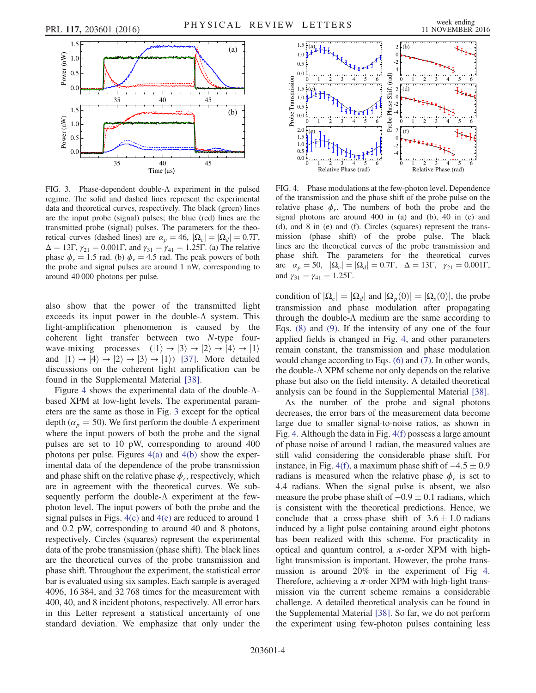<span id="page-3-0"></span>

FIG. 3. Phase-dependent double-Λ experiment in the pulsed regime. The solid and dashed lines represent the experimental data and theoretical curves, respectively. The black (green) lines are the input probe (signal) pulses; the blue (red) lines are the transmitted probe (signal) pulses. The parameters for the theoretical curves (dashed lines) are  $\alpha_p = 46$ ,  $|\Omega_c| = |\Omega_d| = 0.7\Gamma$ ,  $\Delta = 13\Gamma$ ,  $\gamma_{21} = 0.001\Gamma$ , and  $\gamma_{31} = \gamma_{41} = 1.25\Gamma$ . (a) The relative phase  $\phi_r = 1.5$  rad. (b)  $\phi_r = 4.5$  rad. The peak powers of both the probe and signal pulses are around 1 nW, corresponding to around 40 000 photons per pulse.

also show that the power of the transmitted light exceeds its input power in the double- $\Lambda$  system. This light-amplification phenomenon is caused by the coherent light transfer between two N-type fourwave-mixing processes  $(|1\rangle \rightarrow |3\rangle \rightarrow |2\rangle \rightarrow |4\rangle \rightarrow |1\rangle$ and  $|1\rangle \rightarrow |4\rangle \rightarrow |2\rangle \rightarrow |3\rangle \rightarrow |1\rangle$  [\[37\]](#page-4-22). More detailed discussions on the coherent light amplification can be found in the Supplemental Material [\[38\]](#page-4-23).

Figure [4](#page-3-1) shows the experimental data of the double-Λbased XPM at low-light levels. The experimental parameters are the same as those in Fig. [3](#page-3-0) except for the optical depth ( $\alpha_p = 50$ ). We first perform the double- $\Lambda$  experiment where the input powers of both the probe and the signal pulses are set to 10 pW, corresponding to around 400 photons per pulse. Figures  $4(a)$  and  $4(b)$  show the experimental data of the dependence of the probe transmission and phase shift on the relative phase  $\phi_r$ , respectively, which are in agreement with the theoretical curves. We subsequently perform the double-Λ experiment at the fewphoton level. The input powers of both the probe and the signal pulses in Figs. [4\(c\)](#page-3-1) and [4\(e\)](#page-3-1) are reduced to around 1 and 0.2 pW, corresponding to around 40 and 8 photons, respectively. Circles (squares) represent the experimental data of the probe transmission (phase shift). The black lines are the theoretical curves of the probe transmission and phase shift. Throughout the experiment, the statistical error bar is evaluated using six samples. Each sample is averaged 4096, 16 384, and 32 768 times for the measurement with 400, 40, and 8 incident photons, respectively. All error bars in this Letter represent a statistical uncertainty of one standard deviation. We emphasize that only under the

<span id="page-3-1"></span>

FIG. 4. Phase modulations at the few-photon level. Dependence of the transmission and the phase shift of the probe pulse on the relative phase  $\phi_r$ . The numbers of both the probe and the signal photons are around 400 in (a) and (b), 40 in (c) and (d), and 8 in (e) and (f). Circles (squares) represent the transmission (phase shift) of the probe pulse. The black lines are the theoretical curves of the probe transmission and phase shift. The parameters for the theoretical curves are  $\alpha_p = 50$ ,  $|\Omega_c| = |\Omega_d| = 0.7\Gamma$ ,  $\Delta = 13\Gamma$ ,  $\gamma_{21} = 0.001\Gamma$ , and  $\gamma_{31} = \gamma_{41} = 1.25\Gamma$ .

condition of  $|\Omega_c| = |\Omega_d|$  and  $|\Omega_p(0)| = |\Omega_s(0)|$ , the probe transmission and phase modulation after propagating through the double-Λ medium are the same according to Eqs. [\(8\)](#page-2-0) and [\(9\).](#page-2-1) If the intensity of any one of the four applied fields is changed in Fig. [4,](#page-3-1) and other parameters remain constant, the transmission and phase modulation would change according to Eqs. [\(6\)](#page-2-3) and [\(7\).](#page-2-4) In other words, the double-Λ XPM scheme not only depends on the relative phase but also on the field intensity. A detailed theoretical analysis can be found in the Supplemental Material [\[38\]](#page-4-23).

As the number of the probe and signal photons decreases, the error bars of the measurement data become large due to smaller signal-to-noise ratios, as shown in Fig. [4.](#page-3-1) Although the data in Fig. [4\(f\)](#page-3-1) possess a large amount of phase noise of around 1 radian, the measured values are still valid considering the considerable phase shift. For instance, in Fig. [4\(f\)](#page-3-1), a maximum phase shift of  $-4.5 \pm 0.9$ radians is measured when the relative phase  $\phi_r$  is set to 4.4 radians. When the signal pulse is absent, we also measure the probe phase shift of  $-0.9 \pm 0.1$  radians, which is consistent with the theoretical predictions. Hence, we conclude that a cross-phase shift of  $3.6 \pm 1.0$  radians induced by a light pulse containing around eight photons has been realized with this scheme. For practicality in optical and quantum control, a  $\pi$ -order XPM with highlight transmission is important. However, the probe transmission is around 20% in the experiment of Fig [4](#page-3-1). Therefore, achieving a  $\pi$ -order XPM with high-light transmission via the current scheme remains a considerable challenge. A detailed theoretical analysis can be found in the Supplemental Material [\[38\].](#page-4-23) So far, we do not perform the experiment using few-photon pulses containing less